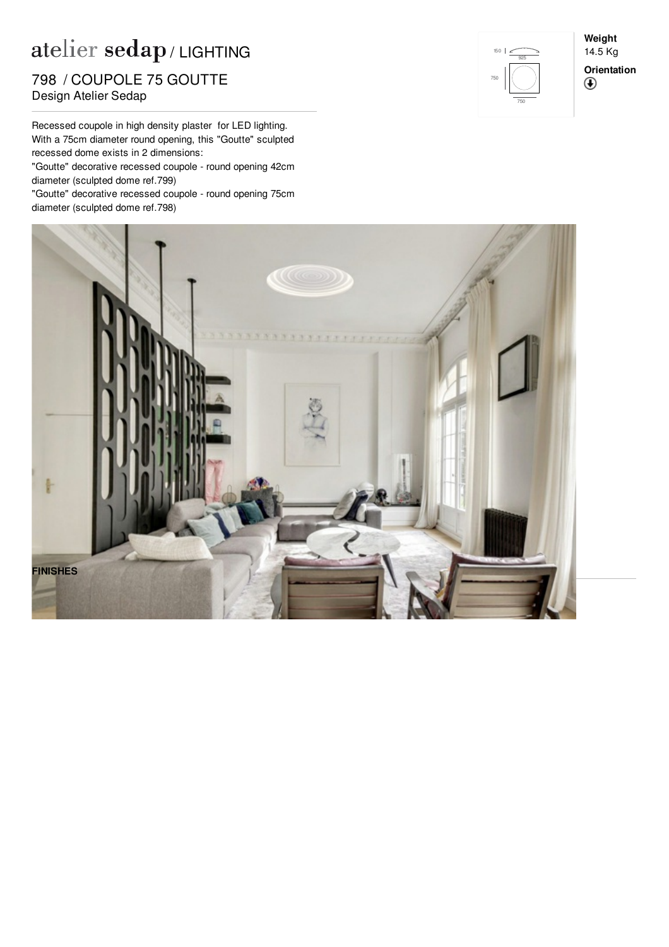## $\mathbf{a}$ telier  $\mathbf{sedap}$  / LIGHTING

noom ooon older.<br>Design Atelier Sedap 798 / COUPOLE 75 GOUTTE

Recessed coupole in high density plaster for LED lighting. With a 75cm diameter round opening, this "Goutte" sculpted recessed dome exists in 2 dimensions:

"Goutte" decorative recessed coupole - round opening 42cm diameter (sculpted dome ref.[799](http://www.sedap.com/lighting/en/produits/view/799))

"Goutte" decorative recessed coupole - round opening 75cm diameter (sculpted dome ref.[798](http://www.sedap.com/lighting/en/produits/view/798))



**Weight** 14.5 Kg **Orientation** $^{\circledR}$